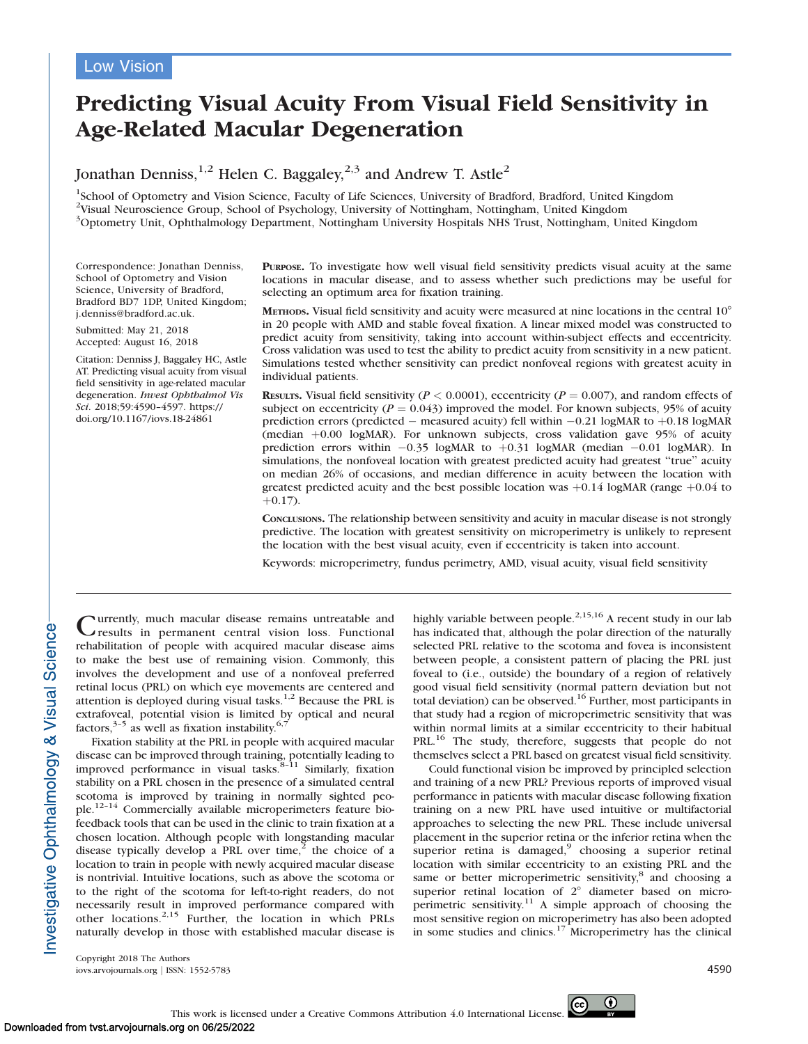# Predicting Visual Acuity From Visual Field Sensitivity in Age-Related Macular Degeneration

Jonathan Denniss,<sup>1,2</sup> Helen C. Baggaley,<sup>2,3</sup> and Andrew T. Astle<sup>2</sup>

<sup>1</sup>School of Optometry and Vision Science, Faculty of Life Sciences, University of Bradford, Bradford, United Kingdom <sup>2</sup>Visual Neuroscience Group, School of Psychology, University of Nottingham, Nottingham, United Kingdom <sup>3</sup>Optometry Unit, Ophthalmology Department, Nottingham University Hospitals NHS Trust, Nottingham, United Kingdom

Correspondence: Jonathan Denniss, School of Optometry and Vision Science, University of Bradford, Bradford BD7 1DP, United Kingdom; j.denniss@bradford.ac.uk.

Submitted: May 21, 2018 Accepted: August 16, 2018

Citation: Denniss J, Baggaley HC, Astle AT. Predicting visual acuity from visual field sensitivity in age-related macular degeneration. Invest Ophthalmol Vis Sci. 2018;59:4590–4597. https:// doi.org/10.1167/iovs.18-24861

PURPOSE. To investigate how well visual field sensitivity predicts visual acuity at the same locations in macular disease, and to assess whether such predictions may be useful for selecting an optimum area for fixation training.

METHODS. Visual field sensitivity and acuity were measured at nine locations in the central 10° in 20 people with AMD and stable foveal fixation. A linear mixed model was constructed to predict acuity from sensitivity, taking into account within-subject effects and eccentricity. Cross validation was used to test the ability to predict acuity from sensitivity in a new patient. Simulations tested whether sensitivity can predict nonfoveal regions with greatest acuity in individual patients.

**RESULTS.** Visual field sensitivity ( $P < 0.0001$ ), eccentricity ( $P = 0.007$ ), and random effects of subject on eccentricity ( $P = 0.043$ ) improved the model. For known subjects, 95% of acuity prediction errors (predicted  $-$  measured acuity) fell within  $-0.21$  logMAR to  $+0.18$  logMAR (median  $+0.00$  logMAR). For unknown subjects, cross validation gave 95% of acuity prediction errors within  $-0.35$  logMAR to  $+0.31$  logMAR (median  $-0.01$  logMAR). In simulations, the nonfoveal location with greatest predicted acuity had greatest ''true'' acuity on median 26% of occasions, and median difference in acuity between the location with greatest predicted acuity and the best possible location was  $+0.14$  logMAR (range  $+0.04$  to  $+0.17$ .

CONCLUSIONS. The relationship between sensitivity and acuity in macular disease is not strongly predictive. The location with greatest sensitivity on microperimetry is unlikely to represent the location with the best visual acuity, even if eccentricity is taken into account.

Keywords: microperimetry, fundus perimetry, AMD, visual acuity, visual field sensitivity

Currently, much macular disease remains untreatable and results in permanent central vision loss. Functional rehabilitation of people with acquired macular disease aims to make the best use of remaining vision. Commonly, this involves the development and use of a nonfoveal preferred retinal locus (PRL) on which eye movements are centered and attention is deployed during visual tasks. $1,2$  Because the PRL is extrafoveal, potential vision is limited by optical and neural factors,  $3-5$  as well as fixation instability.<sup>6,7</sup>

Fixation stability at the PRL in people with acquired macular disease can be improved through training, potentially leading to improved performance in visual tasks.<sup>8-11</sup> Similarly, fixation stability on a PRL chosen in the presence of a simulated central scotoma is improved by training in normally sighted people.12–14 Commercially available microperimeters feature biofeedback tools that can be used in the clinic to train fixation at a chosen location. Although people with longstanding macular disease typically develop a PRL over time,<sup>2</sup> the choice of a location to train in people with newly acquired macular disease is nontrivial. Intuitive locations, such as above the scotoma or to the right of the scotoma for left-to-right readers, do not necessarily result in improved performance compared with other locations. $2,15$  Further, the location in which PRLs naturally develop in those with established macular disease is highly variable between people.<sup>2,15,16</sup> A recent study in our lab has indicated that, although the polar direction of the naturally selected PRL relative to the scotoma and fovea is inconsistent between people, a consistent pattern of placing the PRL just foveal to (i.e., outside) the boundary of a region of relatively good visual field sensitivity (normal pattern deviation but not total deviation) can be observed.<sup>16</sup> Further, most participants in that study had a region of microperimetric sensitivity that was within normal limits at a similar eccentricity to their habitual PRL.<sup>16</sup> The study, therefore, suggests that people do not themselves select a PRL based on greatest visual field sensitivity.

Could functional vision be improved by principled selection and training of a new PRL? Previous reports of improved visual performance in patients with macular disease following fixation training on a new PRL have used intuitive or multifactorial approaches to selecting the new PRL. These include universal placement in the superior retina or the inferior retina when the superior retina is damaged, $9$  choosing a superior retinal location with similar eccentricity to an existing PRL and the same or better microperimetric sensitivity,<sup>8</sup> and choosing a superior retinal location of  $2^\circ$  diameter based on microperimetric sensitivity.11 A simple approach of choosing the most sensitive region on microperimetry has also been adopted in some studies and clinics.<sup>17</sup> Microperimetry has the clinical

Copyright 2018 The Authors iovs.arvojournals.org j ISSN: 1552-5783 4590

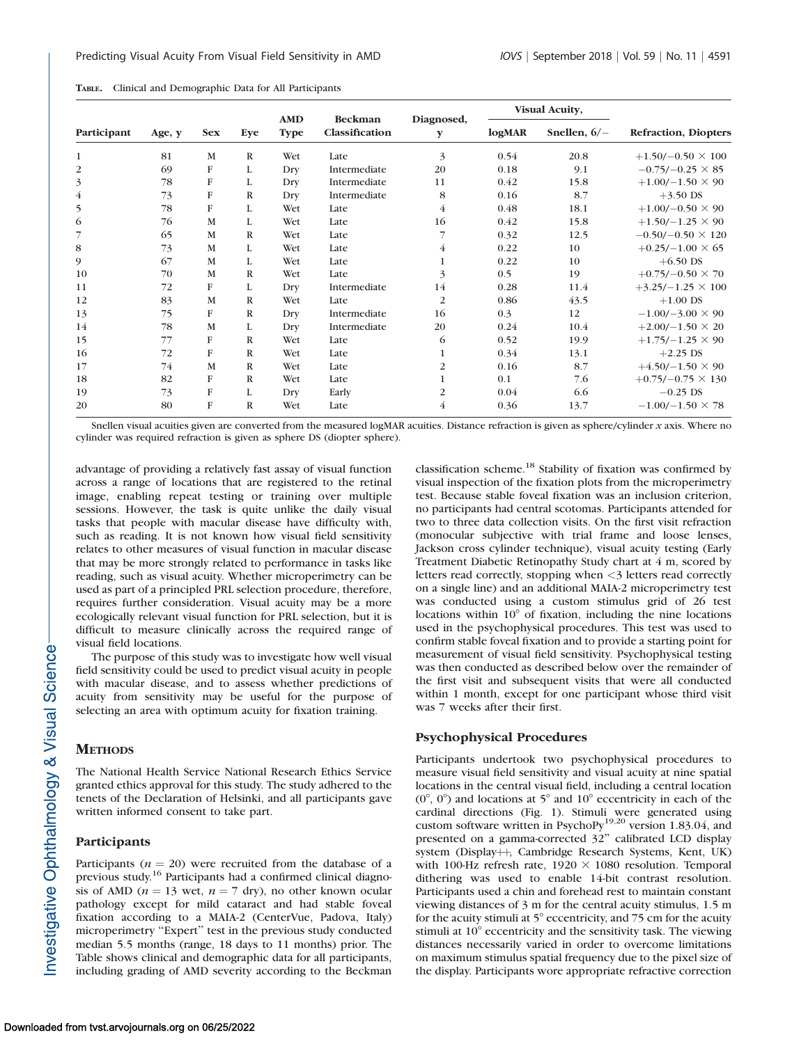| TABLE. |  | Clinical and Demographic Data for All Participants |  |  |  |
|--------|--|----------------------------------------------------|--|--|--|
|--------|--|----------------------------------------------------|--|--|--|

| Participant    | Age, y | <b>Sex</b>   | Eye          | <b>AMD</b><br><b>Type</b> | <b>Beckman</b><br>Classification | Diagnosed,<br>y | <b>Visual Acuity,</b> |                |                              |  |
|----------------|--------|--------------|--------------|---------------------------|----------------------------------|-----------------|-----------------------|----------------|------------------------------|--|
|                |        |              |              |                           |                                  |                 | log <sub>MAP</sub>    | Snellen, $6/-$ | <b>Refraction</b> , Diopters |  |
| 1              | 81     | M            | $\mathbb{R}$ | Wet                       | Late                             | 3               | 0.54                  | 20.8           | $+1.50/-0.50 \times 100$     |  |
| 2              | 69     | F            | L            | Dry                       | Intermediate                     | 20              | 0.18                  | 9.1            | $-0.75/-0.25 \times 85$      |  |
| 3              | 78     | $\mathbf{F}$ | L            | Dry                       | Intermediate                     | 11              | 0.42                  | 15.8           | $+1.00/-1.50 \times 90$      |  |
| $\overline{4}$ | 73     | F            | $\mathbb{R}$ | Dry                       | Intermediate                     | 8               | 0.16                  | 8.7            | $+3.50$ DS                   |  |
| 5              | 78     | F            | L            | Wet                       | Late                             | $\overline{4}$  | 0.48                  | 18.1           | $+1.00/-0.50 \times 90$      |  |
| 6              | 76     | M            | L            | Wet                       | Late                             | 16              | 0.42                  | 15.8           | $+1.50/-1.25 \times 90$      |  |
| 7              | 65     | M            | $\mathbb{R}$ | Wet                       | Late                             |                 | 0.32                  | 12.5           | $-0.50/-0.50 \times 120$     |  |
| 8              | 73     | M            | L            | Wet                       | Late                             | $\overline{4}$  | 0.22                  | 10             | $+0.25/-1.00 \times 65$      |  |
| 9              | 67     | M            | L            | Wet                       | Late                             | $\mathbf{1}$    | 0.22                  | 10             | $+6.50$ DS                   |  |
| 10             | 70     | M            | $\mathbb{R}$ | Wet                       | Late                             | 3               | 0.5                   | 19             | $+0.75/-0.50 \times 70$      |  |
| 11             | 72     | F            | L            | Dry                       | Intermediate                     | 14              | 0.28                  | 11.4           | $+3.25/-1.25 \times 100$     |  |
| 12             | 83     | M            | $\mathbb{R}$ | Wet                       | Late                             | $\overline{2}$  | 0.86                  | 43.5           | $+1.00$ DS                   |  |
| 13             | 75     | F            | $\mathbb R$  | Dry                       | Intermediate                     | 16              | 0.3                   | 12             | $-1.00/-3.00 \times 90$      |  |
| 14             | 78     | M            | L            | Dry                       | Intermediate                     | 20              | 0.24                  | 10.4           | $+2.00/-1.50 \times 20$      |  |
| 15             | 77     | $\mathbf{F}$ | $\mathbb R$  | Wet                       | Late                             | 6               | 0.52                  | 19.9           | $+1.75/-1.25 \times 90$      |  |
| 16             | 72     | $\mathbf F$  | $\mathbb{R}$ | Wet                       | Late                             | $\mathbf 1$     | 0.34                  | 13.1           | $+2.25$ DS                   |  |
| 17             | 74     | M            | $\mathbb{R}$ | Wet                       | Late                             | 2               | 0.16                  | 8.7            | $+4.50/-1.50 \times 90$      |  |
| 18             | 82     | F            | $\mathbb{R}$ | Wet                       | Late                             | $\mathbf{1}$    | 0.1                   | 7.6            | $+0.75/-0.75 \times 130$     |  |
| 19             | 73     | F            | L            | Dry                       | Early                            | 2               | 0.04                  | 6.6            | $-0.25$ DS                   |  |
| 20             | 80     | F            | $\mathbb{R}$ | Wet                       | Late                             | $\overline{4}$  | 0.36                  | 13.7           | $-1.00/-1.50 \times 78$      |  |

Snellen visual acuities given are converted from the measured logMAR acuities. Distance refraction is given as sphere/cylinder  $x$  axis. Where no cylinder was required refraction is given as sphere DS (diopter sphere).

advantage of providing a relatively fast assay of visual function across a range of locations that are registered to the retinal image, enabling repeat testing or training over multiple sessions. However, the task is quite unlike the daily visual tasks that people with macular disease have difficulty with, such as reading. It is not known how visual field sensitivity relates to other measures of visual function in macular disease that may be more strongly related to performance in tasks like reading, such as visual acuity. Whether microperimetry can be used as part of a principled PRL selection procedure, therefore, requires further consideration. Visual acuity may be a more ecologically relevant visual function for PRL selection, but it is difficult to measure clinically across the required range of visual field locations.

The purpose of this study was to investigate how well visual field sensitivity could be used to predict visual acuity in people with macular disease, and to assess whether predictions of acuity from sensitivity may be useful for the purpose of selecting an area with optimum acuity for fixation training.

## **METHODS**

The National Health Service National Research Ethics Service granted ethics approval for this study. The study adhered to the tenets of the Declaration of Helsinki, and all participants gave written informed consent to take part.

## Participants

Participants ( $n = 20$ ) were recruited from the database of a previous study.16 Participants had a confirmed clinical diagnosis of AMD ( $n = 13$  wet,  $n = 7$  dry), no other known ocular pathology except for mild cataract and had stable foveal fixation according to a MAIA-2 (CenterVue, Padova, Italy) microperimetry ''Expert'' test in the previous study conducted median 5.5 months (range, 18 days to 11 months) prior. The Table shows clinical and demographic data for all participants, including grading of AMD severity according to the Beckman classification scheme.18 Stability of fixation was confirmed by visual inspection of the fixation plots from the microperimetry test. Because stable foveal fixation was an inclusion criterion, no participants had central scotomas. Participants attended for two to three data collection visits. On the first visit refraction (monocular subjective with trial frame and loose lenses, Jackson cross cylinder technique), visual acuity testing (Early Treatment Diabetic Retinopathy Study chart at 4 m, scored by letters read correctly, stopping when <3 letters read correctly on a single line) and an additional MAIA-2 microperimetry test was conducted using a custom stimulus grid of 26 test locations within  $10^{\circ}$  of fixation, including the nine locations used in the psychophysical procedures. This test was used to confirm stable foveal fixation and to provide a starting point for measurement of visual field sensitivity. Psychophysical testing was then conducted as described below over the remainder of the first visit and subsequent visits that were all conducted within 1 month, except for one participant whose third visit was 7 weeks after their first.

## Psychophysical Procedures

Participants undertook two psychophysical procedures to measure visual field sensitivity and visual acuity at nine spatial locations in the central visual field, including a central location  $(0^{\circ}, 0^{\circ})$  and locations at 5° and 10° eccentricity in each of the cardinal directions (Fig. 1). Stimuli were generated using custom software written in PsychoPy<sup>19,20</sup> version 1.83.04, and presented on a gamma-corrected 32'' calibrated LCD display system (Display++, Cambridge Research Systems, Kent, UK) with 100-Hz refresh rate,  $1920 \times 1080$  resolution. Temporal dithering was used to enable 14-bit contrast resolution. Participants used a chin and forehead rest to maintain constant viewing distances of 3 m for the central acuity stimulus, 1.5 m for the acuity stimuli at  $5^\circ$  eccentricity, and 75 cm for the acuity stimuli at  $10^{\circ}$  eccentricity and the sensitivity task. The viewing distances necessarily varied in order to overcome limitations on maximum stimulus spatial frequency due to the pixel size of the display. Participants wore appropriate refractive correction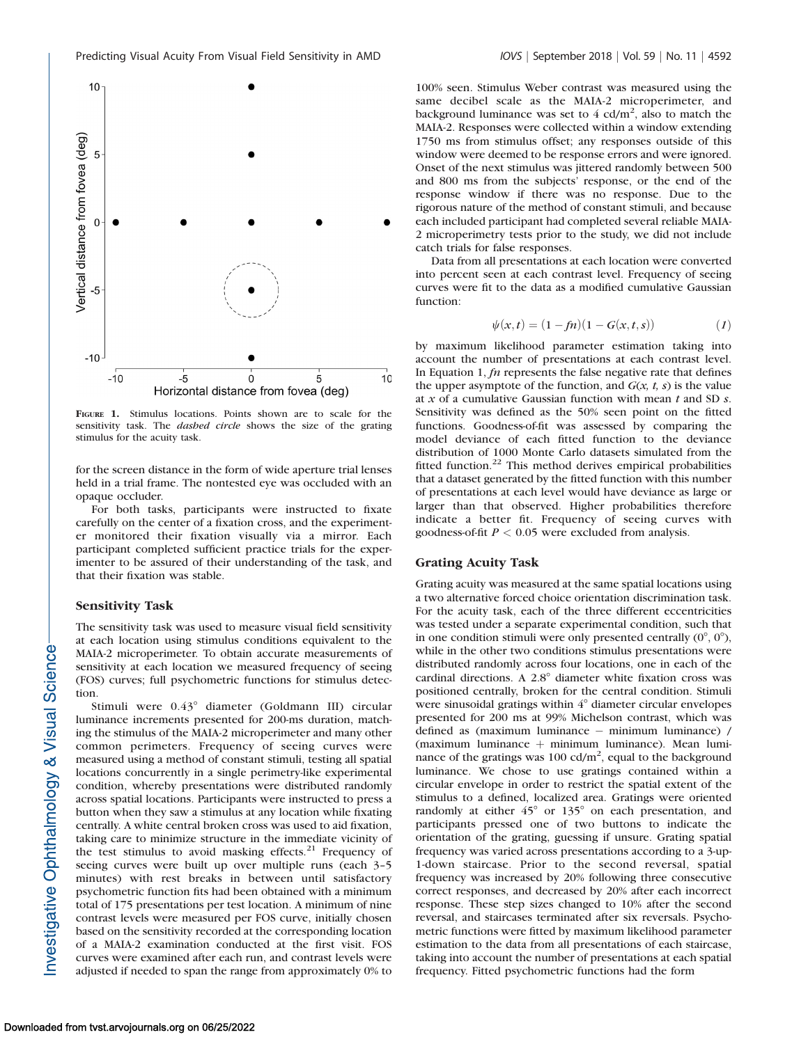

FIGURE 1. Stimulus locations. Points shown are to scale for the sensitivity task. The *dashed circle* shows the size of the grating stimulus for the acuity task.

for the screen distance in the form of wide aperture trial lenses held in a trial frame. The nontested eye was occluded with an opaque occluder.

For both tasks, participants were instructed to fixate carefully on the center of a fixation cross, and the experimenter monitored their fixation visually via a mirror. Each participant completed sufficient practice trials for the experimenter to be assured of their understanding of the task, and that their fixation was stable.

## Sensitivity Task

The sensitivity task was used to measure visual field sensitivity at each location using stimulus conditions equivalent to the MAIA-2 microperimeter. To obtain accurate measurements of sensitivity at each location we measured frequency of seeing (FOS) curves; full psychometric functions for stimulus detection.

Stimuli were  $0.43^{\circ}$  diameter (Goldmann III) circular luminance increments presented for 200-ms duration, matching the stimulus of the MAIA-2 microperimeter and many other common perimeters. Frequency of seeing curves were measured using a method of constant stimuli, testing all spatial locations concurrently in a single perimetry-like experimental condition, whereby presentations were distributed randomly across spatial locations. Participants were instructed to press a button when they saw a stimulus at any location while fixating centrally. A white central broken cross was used to aid fixation, taking care to minimize structure in the immediate vicinity of the test stimulus to avoid masking effects. $21$  Frequency of seeing curves were built up over multiple runs (each 3–5 minutes) with rest breaks in between until satisfactory psychometric function fits had been obtained with a minimum total of 175 presentations per test location. A minimum of nine contrast levels were measured per FOS curve, initially chosen based on the sensitivity recorded at the corresponding location of a MAIA-2 examination conducted at the first visit. FOS curves were examined after each run, and contrast levels were adjusted if needed to span the range from approximately 0% to

100% seen. Stimulus Weber contrast was measured using the same decibel scale as the MAIA-2 microperimeter, and background luminance was set to  $4 \text{ cd/m}^2$ , also to match the MAIA-2. Responses were collected within a window extending 1750 ms from stimulus offset; any responses outside of this window were deemed to be response errors and were ignored. Onset of the next stimulus was jittered randomly between 500 and 800 ms from the subjects' response, or the end of the response window if there was no response. Due to the rigorous nature of the method of constant stimuli, and because each included participant had completed several reliable MAIA-2 microperimetry tests prior to the study, we did not include catch trials for false responses.

Data from all presentations at each location were converted into percent seen at each contrast level. Frequency of seeing curves were fit to the data as a modified cumulative Gaussian function:

$$
\psi(x,t) = (1 - fn)(1 - G(x,t,s))
$$
 (1)

by maximum likelihood parameter estimation taking into account the number of presentations at each contrast level. In Equation 1,  $fn$  represents the false negative rate that defines the upper asymptote of the function, and  $G(x, t, s)$  is the value at  $x$  of a cumulative Gaussian function with mean  $t$  and SD  $s$ . Sensitivity was defined as the 50% seen point on the fitted functions. Goodness-of-fit was assessed by comparing the model deviance of each fitted function to the deviance distribution of 1000 Monte Carlo datasets simulated from the fitted function. $22$  This method derives empirical probabilities that a dataset generated by the fitted function with this number of presentations at each level would have deviance as large or larger than that observed. Higher probabilities therefore indicate a better fit. Frequency of seeing curves with goodness-of-fit  $P < 0.05$  were excluded from analysis.

#### Grating Acuity Task

Grating acuity was measured at the same spatial locations using a two alternative forced choice orientation discrimination task. For the acuity task, each of the three different eccentricities was tested under a separate experimental condition, such that in one condition stimuli were only presented centrally  $(0^{\circ}, 0^{\circ})$ , while in the other two conditions stimulus presentations were distributed randomly across four locations, one in each of the cardinal directions. A  $2.8^{\circ}$  diameter white fixation cross was positioned centrally, broken for the central condition. Stimuli were sinusoidal gratings within  $4^\circ$  diameter circular envelopes presented for 200 ms at 99% Michelson contrast, which was defined as (maximum luminance - minimum luminance) /  $(maximum$  luminance  $+$  minimum luminance). Mean luminance of the gratings was  $100 \text{ cd/m}^2$ , equal to the background luminance. We chose to use gratings contained within a circular envelope in order to restrict the spatial extent of the stimulus to a defined, localized area. Gratings were oriented randomly at either  $45^{\circ}$  or  $135^{\circ}$  on each presentation, and participants pressed one of two buttons to indicate the orientation of the grating, guessing if unsure. Grating spatial frequency was varied across presentations according to a 3-up-1-down staircase. Prior to the second reversal, spatial frequency was increased by 20% following three consecutive correct responses, and decreased by 20% after each incorrect response. These step sizes changed to 10% after the second reversal, and staircases terminated after six reversals. Psychometric functions were fitted by maximum likelihood parameter estimation to the data from all presentations of each staircase, taking into account the number of presentations at each spatial frequency. Fitted psychometric functions had the form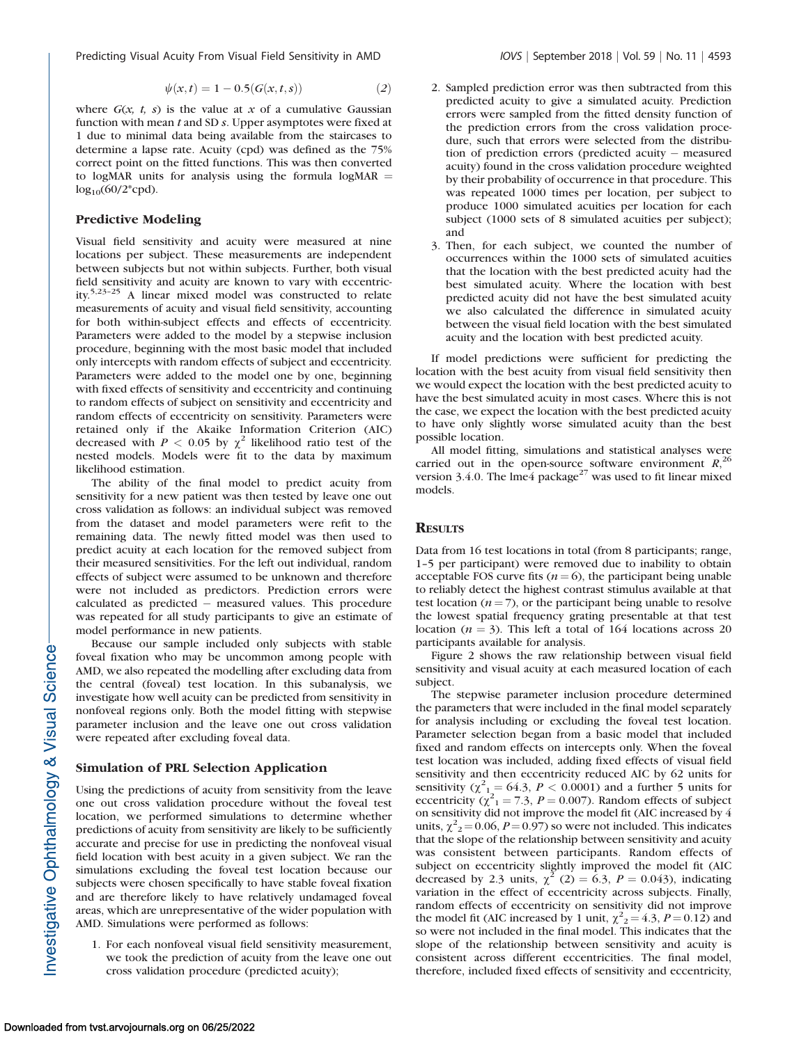Predicting Visual Acuity From Visual Field Sensitivity in AMD *IOVS* | September 2018 | Vol. 59 | No. 11 | 4593

$$
\psi(x,t) = 1 - 0.5(G(x,t,s))
$$
\n(2)

where  $G(x, t, s)$  is the value at x of a cumulative Gaussian function with mean  $t$  and SD  $s$ . Upper asymptotes were fixed at 1 due to minimal data being available from the staircases to determine a lapse rate. Acuity (cpd) was defined as the 75% correct point on the fitted functions. This was then converted to logMAR units for analysis using the formula  $log<sub>MAP</sub>$  $log_{10}(60/2*{\rm cpd}).$ 

#### Predictive Modeling

Visual field sensitivity and acuity were measured at nine locations per subject. These measurements are independent between subjects but not within subjects. Further, both visual field sensitivity and acuity are known to vary with eccentricity.5,23–25 A linear mixed model was constructed to relate measurements of acuity and visual field sensitivity, accounting for both within-subject effects and effects of eccentricity. Parameters were added to the model by a stepwise inclusion procedure, beginning with the most basic model that included only intercepts with random effects of subject and eccentricity. Parameters were added to the model one by one, beginning with fixed effects of sensitivity and eccentricity and continuing to random effects of subject on sensitivity and eccentricity and random effects of eccentricity on sensitivity. Parameters were retained only if the Akaike Information Criterion (AIC) decreased with  $P < 0.05$  by  $\chi^2$  likelihood ratio test of the nested models. Models were fit to the data by maximum likelihood estimation.

The ability of the final model to predict acuity from sensitivity for a new patient was then tested by leave one out cross validation as follows: an individual subject was removed from the dataset and model parameters were refit to the remaining data. The newly fitted model was then used to predict acuity at each location for the removed subject from their measured sensitivities. For the left out individual, random effects of subject were assumed to be unknown and therefore were not included as predictors. Prediction errors were calculated as predicted - measured values. This procedure was repeated for all study participants to give an estimate of model performance in new patients.

Because our sample included only subjects with stable foveal fixation who may be uncommon among people with AMD, we also repeated the modelling after excluding data from the central (foveal) test location. In this subanalysis, we investigate how well acuity can be predicted from sensitivity in nonfoveal regions only. Both the model fitting with stepwise parameter inclusion and the leave one out cross validation were repeated after excluding foveal data.

#### Simulation of PRL Selection Application

Using the predictions of acuity from sensitivity from the leave one out cross validation procedure without the foveal test location, we performed simulations to determine whether predictions of acuity from sensitivity are likely to be sufficiently accurate and precise for use in predicting the nonfoveal visual field location with best acuity in a given subject. We ran the simulations excluding the foveal test location because our subjects were chosen specifically to have stable foveal fixation and are therefore likely to have relatively undamaged foveal areas, which are unrepresentative of the wider population with AMD. Simulations were performed as follows:

1. For each nonfoveal visual field sensitivity measurement, we took the prediction of acuity from the leave one out cross validation procedure (predicted acuity);

- 2. Sampled prediction error was then subtracted from this predicted acuity to give a simulated acuity. Prediction errors were sampled from the fitted density function of the prediction errors from the cross validation procedure, such that errors were selected from the distribution of prediction errors (predicted acuity - measured acuity) found in the cross validation procedure weighted by their probability of occurrence in that procedure. This was repeated 1000 times per location, per subject to produce 1000 simulated acuities per location for each subject (1000 sets of 8 simulated acuities per subject); and
- 3. Then, for each subject, we counted the number of occurrences within the 1000 sets of simulated acuities that the location with the best predicted acuity had the best simulated acuity. Where the location with best predicted acuity did not have the best simulated acuity we also calculated the difference in simulated acuity between the visual field location with the best simulated acuity and the location with best predicted acuity.

If model predictions were sufficient for predicting the location with the best acuity from visual field sensitivity then we would expect the location with the best predicted acuity to have the best simulated acuity in most cases. Where this is not the case, we expect the location with the best predicted acuity to have only slightly worse simulated acuity than the best possible location.

All model fitting, simulations and statistical analyses were carried out in the open-source software environment  $R$ ,<sup>26</sup>, version 3.4.0. The lme4 package<sup>27</sup> was used to fit linear mixed models.

### **RESULTS**

Data from 16 test locations in total (from 8 participants; range, 1–5 per participant) were removed due to inability to obtain acceptable FOS curve fits ( $n = 6$ ), the participant being unable to reliably detect the highest contrast stimulus available at that test location ( $n = 7$ ), or the participant being unable to resolve the lowest spatial frequency grating presentable at that test location ( $n = 3$ ). This left a total of 164 locations across 20 participants available for analysis.

Figure 2 shows the raw relationship between visual field sensitivity and visual acuity at each measured location of each subject.

The stepwise parameter inclusion procedure determined the parameters that were included in the final model separately for analysis including or excluding the foveal test location. Parameter selection began from a basic model that included fixed and random effects on intercepts only. When the foveal test location was included, adding fixed effects of visual field sensitivity and then eccentricity reduced AIC by 62 units for sensitivity ( $\chi^2$ <sub>1</sub> = 64.3, *P* < 0.0001) and a further 5 units for eccentricity  $(\chi^2_1 = 7.3, P = 0.007)$ . Random effects of subject on sensitivity did not improve the model fit (AIC increased by 4 units,  $\chi^2$ <sub>2</sub> = 0.06, *P* = 0.97) so were not included. This indicates that the slope of the relationship between sensitivity and acuity was consistent between participants. Random effects of subject on eccentricity slightly improved the model fit (AIC decreased by 2.3 units,  $\chi^2$  (2) = 6.3, P = 0.043), indicating variation in the effect of eccentricity across subjects. Finally, random effects of eccentricity on sensitivity did not improve the model fit (AIC increased by 1 unit,  $\chi^2 = 4.3$ ,  $P = 0.12$ ) and so were not included in the final model. This indicates that the slope of the relationship between sensitivity and acuity is consistent across different eccentricities. The final model, therefore, included fixed effects of sensitivity and eccentricity,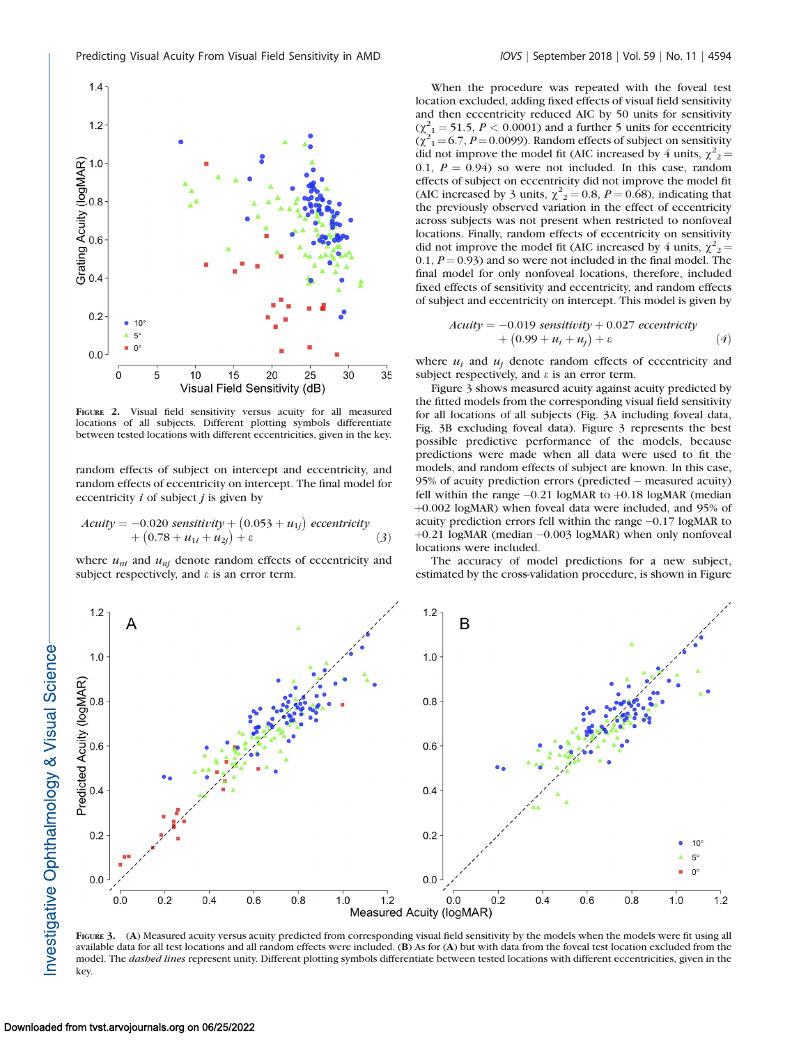

FIGURE 2. Visual field sensitivity versus acuity for all measured locations of all subjects. Different plotting symbols differentiate between tested locations with different eccentricities, given in the key.

random effects of subject on intercept and eccentricity, and random effects of eccentricity on intercept. The final model for eccentricity  $i$  of subject  $j$  is given by

$$
Acuity = -0.020 \; sensitivity + (0.053 + u_{1j}) \; eccentricity + (0.78 + u_{1i} + u_{2j}) + \varepsilon
$$
 (3)

where  $u_{ni}$  and  $u_{nj}$  denote random effects of eccentricity and subject respectively, and  $\varepsilon$  is an error term.

When the procedure was repeated with the foveal test location excluded, adding fixed effects of visual field sensitivity and then eccentricity reduced AIC by 50 units for sensitivity  $(\chi^2_{1} = 51.5, P < 0.0001)$  and a further 5 units for eccentricity  $(\chi^2)^1 = 6.7$ ,  $P = 0.0099$ ). Random effects of subject on sensitivity did not improve the model fit (AIC increased by 4 units,  $\chi^2_{2}$  = 0.1,  $P = 0.94$ ) so were not included. In this case, random effects of subject on eccentricity did not improve the model fit (AIC increased by 3 units,  $\chi^2$ <sub>2</sub> = 0.8, *P* = 0.68), indicating that the previously observed variation in the effect of eccentricity across subjects was not present when restricted to nonfoveal locations. Finally, random effects of eccentricity on sensitivity did not improve the model fit (AIC increased by 4 units,  $\chi^2_{2}$  =  $0.1, P = 0.93$  and so were not included in the final model. The final model for only nonfoveal locations, therefore, included fixed effects of sensitivity and eccentricity, and random effects of subject and eccentricity on intercept. This model is given by

$$
Acuity = -0.019 sensitivity + 0.027 eccentricity + (0.99 + ui + uj) + \varepsilon
$$
 (4)

where  $u_i$  and  $u_j$  denote random effects of eccentricity and subject respectively, and  $\varepsilon$  is an error term.

Figure 3 shows measured acuity against acuity predicted by the fitted models from the corresponding visual field sensitivity for all locations of all subjects (Fig. 3A including foveal data, Fig. 3B excluding foveal data). Figure 3 represents the best possible predictive performance of the models, because predictions were made when all data were used to fit the models, and random effects of subject are known. In this case, 95% of acuity prediction errors (predicted - measured acuity) fell within the range  $-0.21$  logMAR to  $+0.18$  logMAR (median +0.002 logMAR) when foveal data were included, and 95% of acuity prediction errors fell within the range -0.17 logMAR to +0.21 logMAR (median -0.003 logMAR) when only nonfoveal locations were included.

The accuracy of model predictions for a new subject, estimated by the cross-validation procedure, is shown in Figure



FIGURE 3. (A) Measured acuity versus acuity predicted from corresponding visual field sensitivity by the models when the models were fit using all available data for all test locations and all random effects were included. (B) As for (A) but with data from the foveal test location excluded from the model. The dashed lines represent unity. Different plotting symbols differentiate between tested locations with different eccentricities, given in the key.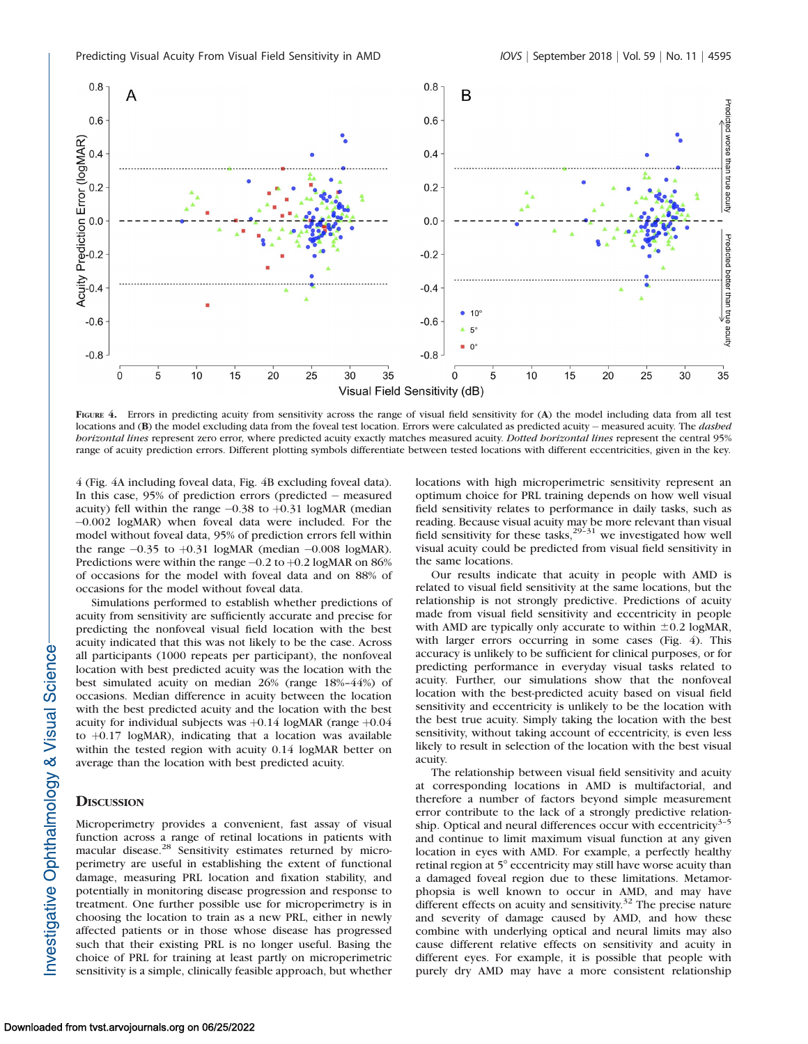

FIGURE 4. Errors in predicting acuity from sensitivity across the range of visual field sensitivity for (A) the model including data from all test locations and (B) the model excluding data from the foveal test location. Errors were calculated as predicted acuity - measured acuity. The *dashed* horizontal lines represent zero error, where predicted acuity exactly matches measured acuity. Dotted horizontal lines represent the central 95% range of acuity prediction errors. Different plotting symbols differentiate between tested locations with different eccentricities, given in the key.

4 (Fig. 4A including foveal data, Fig. 4B excluding foveal data). In this case, 95% of prediction errors (predicted - measured acuity) fell within the range  $-0.38$  to  $+0.31$  logMAR (median -0.002 logMAR) when foveal data were included. For the model without foveal data, 95% of prediction errors fell within the range  $-0.35$  to  $+0.31$  logMAR (median  $-0.008$  logMAR). Predictions were within the range  $-0.2$  to  $+0.2$  logMAR on 86% of occasions for the model with foveal data and on 88% of occasions for the model without foveal data.

Simulations performed to establish whether predictions of acuity from sensitivity are sufficiently accurate and precise for predicting the nonfoveal visual field location with the best acuity indicated that this was not likely to be the case. Across all participants (1000 repeats per participant), the nonfoveal location with best predicted acuity was the location with the best simulated acuity on median 26% (range 18%–44%) of occasions. Median difference in acuity between the location with the best predicted acuity and the location with the best acuity for individual subjects was  $+0.14$  logMAR (range  $+0.04$ to  $+0.17$  logMAR), indicating that a location was available within the tested region with acuity 0.14 logMAR better on average than the location with best predicted acuity.

## **DISCUSSION**

Microperimetry provides a convenient, fast assay of visual function across a range of retinal locations in patients with macular disease.<sup>28</sup> Sensitivity estimates returned by microperimetry are useful in establishing the extent of functional damage, measuring PRL location and fixation stability, and potentially in monitoring disease progression and response to treatment. One further possible use for microperimetry is in choosing the location to train as a new PRL, either in newly affected patients or in those whose disease has progressed such that their existing PRL is no longer useful. Basing the choice of PRL for training at least partly on microperimetric sensitivity is a simple, clinically feasible approach, but whether locations with high microperimetric sensitivity represent an optimum choice for PRL training depends on how well visual field sensitivity relates to performance in daily tasks, such as reading. Because visual acuity may be more relevant than visual field sensitivity for these tasks, $^{29-31}$  we investigated how well visual acuity could be predicted from visual field sensitivity in the same locations.

Our results indicate that acuity in people with AMD is related to visual field sensitivity at the same locations, but the relationship is not strongly predictive. Predictions of acuity made from visual field sensitivity and eccentricity in people with AMD are typically only accurate to within  $\pm 0.2$  logMAR, with larger errors occurring in some cases (Fig. 4). This accuracy is unlikely to be sufficient for clinical purposes, or for predicting performance in everyday visual tasks related to acuity. Further, our simulations show that the nonfoveal location with the best-predicted acuity based on visual field sensitivity and eccentricity is unlikely to be the location with the best true acuity. Simply taking the location with the best sensitivity, without taking account of eccentricity, is even less likely to result in selection of the location with the best visual acuity.

The relationship between visual field sensitivity and acuity at corresponding locations in AMD is multifactorial, and therefore a number of factors beyond simple measurement error contribute to the lack of a strongly predictive relationship. Optical and neural differences occur with eccentricity $3-5$ and continue to limit maximum visual function at any given location in eyes with AMD. For example, a perfectly healthy retinal region at  $5^\circ$  eccentricity may still have worse acuity than a damaged foveal region due to these limitations. Metamorphopsia is well known to occur in AMD, and may have different effects on acuity and sensitivity. $32$  The precise nature and severity of damage caused by AMD, and how these combine with underlying optical and neural limits may also cause different relative effects on sensitivity and acuity in different eyes. For example, it is possible that people with purely dry AMD may have a more consistent relationship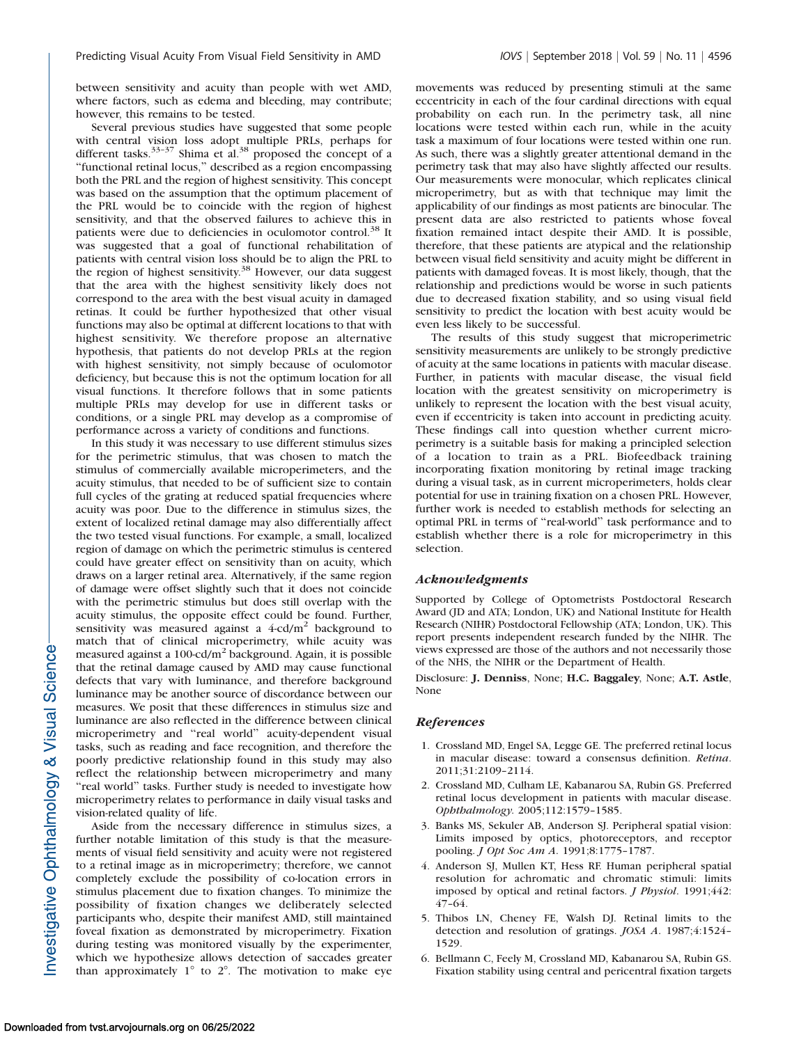between sensitivity and acuity than people with wet AMD, where factors, such as edema and bleeding, may contribute; however, this remains to be tested.

Several previous studies have suggested that some people with central vision loss adopt multiple PRLs, perhaps for different tasks. $33-37$  Shima et al. $38$  proposed the concept of a ''functional retinal locus,'' described as a region encompassing both the PRL and the region of highest sensitivity. This concept was based on the assumption that the optimum placement of the PRL would be to coincide with the region of highest sensitivity, and that the observed failures to achieve this in patients were due to deficiencies in oculomotor control.<sup>38</sup> It was suggested that a goal of functional rehabilitation of patients with central vision loss should be to align the PRL to the region of highest sensitivity.<sup>38</sup> However, our data suggest that the area with the highest sensitivity likely does not correspond to the area with the best visual acuity in damaged retinas. It could be further hypothesized that other visual functions may also be optimal at different locations to that with highest sensitivity. We therefore propose an alternative hypothesis, that patients do not develop PRLs at the region with highest sensitivity, not simply because of oculomotor deficiency, but because this is not the optimum location for all visual functions. It therefore follows that in some patients multiple PRLs may develop for use in different tasks or conditions, or a single PRL may develop as a compromise of performance across a variety of conditions and functions.

In this study it was necessary to use different stimulus sizes for the perimetric stimulus, that was chosen to match the stimulus of commercially available microperimeters, and the acuity stimulus, that needed to be of sufficient size to contain full cycles of the grating at reduced spatial frequencies where acuity was poor. Due to the difference in stimulus sizes, the extent of localized retinal damage may also differentially affect the two tested visual functions. For example, a small, localized region of damage on which the perimetric stimulus is centered could have greater effect on sensitivity than on acuity, which draws on a larger retinal area. Alternatively, if the same region of damage were offset slightly such that it does not coincide with the perimetric stimulus but does still overlap with the acuity stimulus, the opposite effect could be found. Further, sensitivity was measured against a  $4\text{-cd/m}^2$  background to match that of clinical microperimetry, while acuity was measured against a 100-cd/ $m<sup>2</sup>$  background. Again, it is possible that the retinal damage caused by AMD may cause functional defects that vary with luminance, and therefore background luminance may be another source of discordance between our measures. We posit that these differences in stimulus size and luminance are also reflected in the difference between clinical microperimetry and ''real world'' acuity-dependent visual tasks, such as reading and face recognition, and therefore the poorly predictive relationship found in this study may also reflect the relationship between microperimetry and many "real world" tasks. Further study is needed to investigate how microperimetry relates to performance in daily visual tasks and vision-related quality of life.

Aside from the necessary difference in stimulus sizes, a further notable limitation of this study is that the measurements of visual field sensitivity and acuity were not registered to a retinal image as in microperimetry; therefore, we cannot completely exclude the possibility of co-location errors in stimulus placement due to fixation changes. To minimize the possibility of fixation changes we deliberately selected participants who, despite their manifest AMD, still maintained foveal fixation as demonstrated by microperimetry. Fixation during testing was monitored visually by the experimenter, which we hypothesize allows detection of saccades greater than approximately  $1^{\circ}$  to  $2^{\circ}$ . The motivation to make eye

movements was reduced by presenting stimuli at the same eccentricity in each of the four cardinal directions with equal probability on each run. In the perimetry task, all nine locations were tested within each run, while in the acuity task a maximum of four locations were tested within one run. As such, there was a slightly greater attentional demand in the perimetry task that may also have slightly affected our results. Our measurements were monocular, which replicates clinical microperimetry, but as with that technique may limit the applicability of our findings as most patients are binocular. The present data are also restricted to patients whose foveal fixation remained intact despite their AMD. It is possible, therefore, that these patients are atypical and the relationship between visual field sensitivity and acuity might be different in patients with damaged foveas. It is most likely, though, that the relationship and predictions would be worse in such patients due to decreased fixation stability, and so using visual field sensitivity to predict the location with best acuity would be even less likely to be successful.

The results of this study suggest that microperimetric sensitivity measurements are unlikely to be strongly predictive of acuity at the same locations in patients with macular disease. Further, in patients with macular disease, the visual field location with the greatest sensitivity on microperimetry is unlikely to represent the location with the best visual acuity, even if eccentricity is taken into account in predicting acuity. These findings call into question whether current microperimetry is a suitable basis for making a principled selection of a location to train as a PRL. Biofeedback training incorporating fixation monitoring by retinal image tracking during a visual task, as in current microperimeters, holds clear potential for use in training fixation on a chosen PRL. However, further work is needed to establish methods for selecting an optimal PRL in terms of ''real-world'' task performance and to establish whether there is a role for microperimetry in this selection.

#### Acknowledgments

Supported by College of Optometrists Postdoctoral Research Award (JD and ATA; London, UK) and National Institute for Health Research (NIHR) Postdoctoral Fellowship (ATA; London, UK). This report presents independent research funded by the NIHR. The views expressed are those of the authors and not necessarily those of the NHS, the NIHR or the Department of Health.

Disclosure: J. Denniss, None; H.C. Baggaley, None; A.T. Astle, None

#### References

- 1. Crossland MD, Engel SA, Legge GE. The preferred retinal locus in macular disease: toward a consensus definition. Retina. 2011;31:2109–2114.
- 2. Crossland MD, Culham LE, Kabanarou SA, Rubin GS. Preferred retinal locus development in patients with macular disease. Ophthalmology. 2005;112:1579–1585.
- 3. Banks MS, Sekuler AB, Anderson SJ. Peripheral spatial vision: Limits imposed by optics, photoreceptors, and receptor pooling. J Opt Soc Am A. 1991;8:1775–1787.
- 4. Anderson SJ, Mullen KT, Hess RF. Human peripheral spatial resolution for achromatic and chromatic stimuli: limits imposed by optical and retinal factors. *J Physiol*. 1991;442: 47–64.
- 5. Thibos LN, Cheney FE, Walsh DJ. Retinal limits to the detection and resolution of gratings. JOSA A. 1987;4:1524– 1529.
- 6. Bellmann C, Feely M, Crossland MD, Kabanarou SA, Rubin GS. Fixation stability using central and pericentral fixation targets